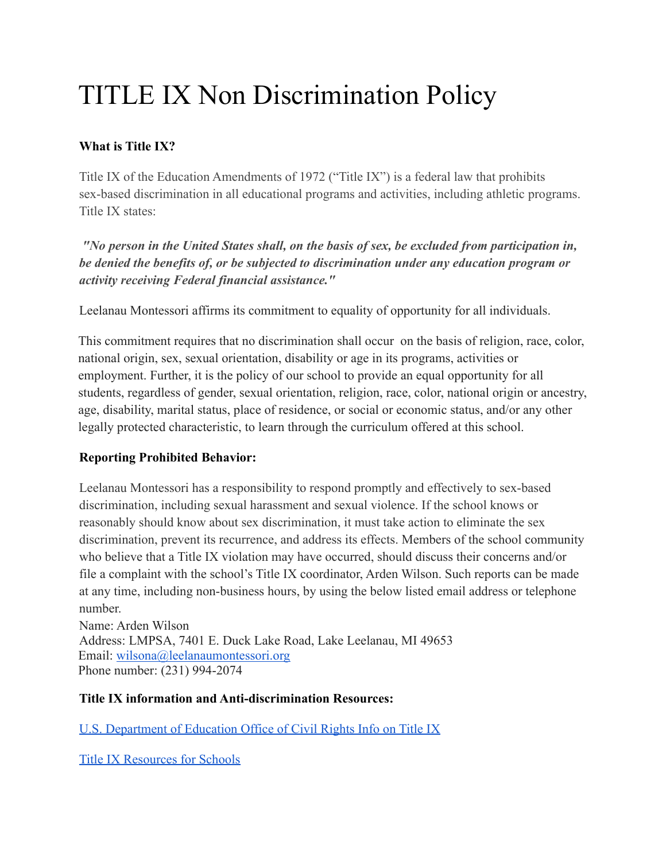## TITLE IX Non Discrimination Policy

## **What is Title IX?**

Title IX of the Education Amendments of 1972 ("Title IX") is a federal law that prohibits sex-based discrimination in all educational programs and activities, including athletic programs. Title IX states:

*"No person in the United States shall, on the basis of sex, be excluded from participation in, be denied the benefits of, or be subjected to discrimination under any education program or activity receiving Federal financial assistance."*

Leelanau Montessori affirms its commitment to equality of opportunity for all individuals.

This commitment requires that no discrimination shall occur on the basis of religion, race, color, national origin, sex, sexual orientation, disability or age in its programs, activities or employment. Further, it is the policy of our school to provide an equal opportunity for all students, regardless of gender, sexual orientation, religion, race, color, national origin or ancestry, age, disability, marital status, place of residence, or social or economic status, and/or any other legally protected characteristic, to learn through the curriculum offered at this school.

## **Reporting Prohibited Behavior:**

Leelanau Montessori has a responsibility to respond promptly and effectively to sex-based discrimination, including sexual harassment and sexual violence. If the school knows or reasonably should know about sex discrimination, it must take action to eliminate the sex discrimination, prevent its recurrence, and address its effects. Members of the school community who believe that a Title IX violation may have occurred, should discuss their concerns and/or file a complaint with the school's Title IX coordinator, Arden Wilson. Such reports can be made at any time, including non-business hours, by using the below listed email address or telephone number.

Name: Arden Wilson Address: LMPSA, 7401 E. Duck Lake Road, Lake Leelanau, MI 49653 Email: [wilsona@leelanaumontessori.org](mailto:wilsona@leelanaumontessori.org) Phone number: (231) 994-2074

## **Title IX information and Anti-discrimination Resources:**

[U.S. Department of Education Office of Civil Rights Info on Title IX](https://www2.ed.gov/about/offices/list/ocr/docs/tix_dis.html)

[Title IX Resources for Schools](https://www.michigan.gov/documents/mde/Title_IX_Resources_ADA_554821_7.pdf)